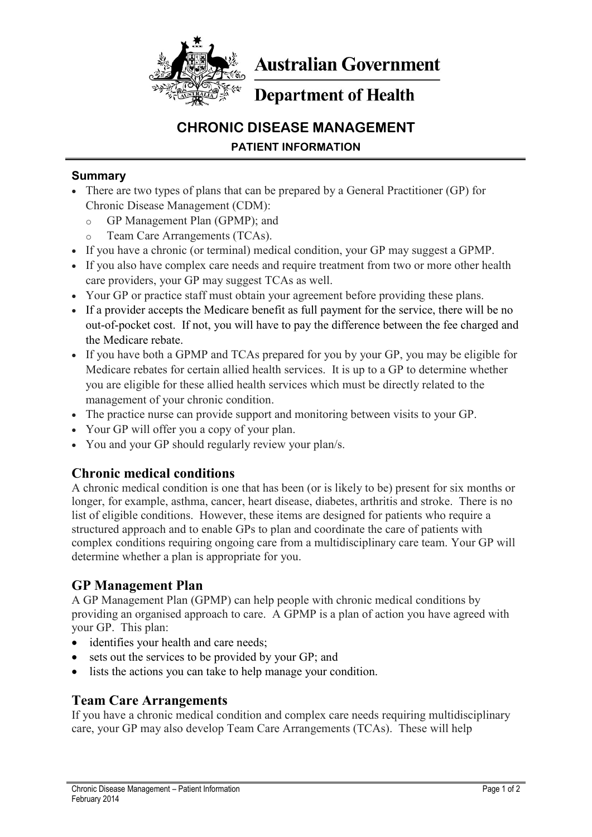

**Australian Government** 

# **Department of Health**

# **CHRONIC DISEASE MANAGEMENT PATIENT INFORMATION**

#### **Summary**

- There are two types of plans that can be prepared by a General Practitioner (GP) for Chronic Disease Management (CDM):
	- o GP Management Plan (GPMP); and
	- o Team Care Arrangements (TCAs).
- If you have a chronic (or terminal) medical condition, your GP may suggest a GPMP.
- If you also have complex care needs and require treatment from two or more other health care providers, your GP may suggest TCAs as well.
- Your GP or practice staff must obtain your agreement before providing these plans.
- If a provider accepts the Medicare benefit as full payment for the service, there will be no out-of-pocket cost. If not, you will have to pay the difference between the fee charged and the Medicare rebate.
- If you have both a GPMP and TCAs prepared for you by your GP, you may be eligible for Medicare rebates for certain allied health services. It is up to a GP to determine whether you are eligible for these allied health services which must be directly related to the management of your chronic condition.
- The practice nurse can provide support and monitoring between visits to your GP.
- Your GP will offer you a copy of your plan.
- You and your GP should regularly review your plan/s.

#### **Chronic medical conditions**

A chronic medical condition is one that has been (or is likely to be) present for six months or longer, for example, asthma, cancer, heart disease, diabetes, arthritis and stroke. There is no list of eligible conditions. However, these items are designed for patients who require a structured approach and to enable GPs to plan and coordinate the care of patients with complex conditions requiring ongoing care from a multidisciplinary care team. Your GP will determine whether a plan is appropriate for you.

#### **GP Management Plan**

A GP Management Plan (GPMP) can help people with chronic medical conditions by providing an organised approach to care. A GPMP is a plan of action you have agreed with your GP. This plan:

- identifies your health and care needs;
- sets out the services to be provided by your GP; and
- lists the actions you can take to help manage your condition.

#### **Team Care Arrangements**

If you have a chronic medical condition and complex care needs requiring multidisciplinary care, your GP may also develop Team Care Arrangements (TCAs). These will help